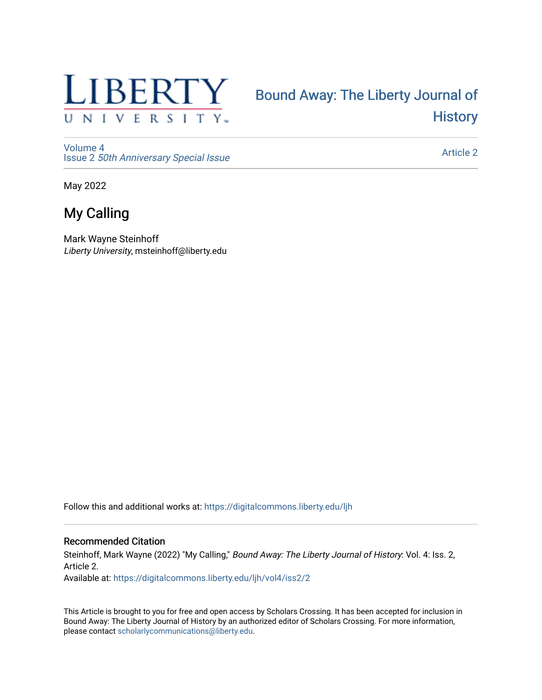

# [Bound Away: The Liberty Journal of](https://digitalcommons.liberty.edu/ljh)  **History**

[Volume 4](https://digitalcommons.liberty.edu/ljh/vol4) Issue 2 [50th Anniversary Special Issue](https://digitalcommons.liberty.edu/ljh/vol4/iss2)

[Article 2](https://digitalcommons.liberty.edu/ljh/vol4/iss2/2) 

May 2022

## My Calling

Mark Wayne Steinhoff Liberty University, msteinhoff@liberty.edu

Follow this and additional works at: [https://digitalcommons.liberty.edu/ljh](https://digitalcommons.liberty.edu/ljh?utm_source=digitalcommons.liberty.edu%2Fljh%2Fvol4%2Fiss2%2F2&utm_medium=PDF&utm_campaign=PDFCoverPages)

#### Recommended Citation

Steinhoff, Mark Wayne (2022) "My Calling," Bound Away: The Liberty Journal of History: Vol. 4: Iss. 2, Article 2. Available at: [https://digitalcommons.liberty.edu/ljh/vol4/iss2/2](https://digitalcommons.liberty.edu/ljh/vol4/iss2/2?utm_source=digitalcommons.liberty.edu%2Fljh%2Fvol4%2Fiss2%2F2&utm_medium=PDF&utm_campaign=PDFCoverPages) 

This Article is brought to you for free and open access by Scholars Crossing. It has been accepted for inclusion in Bound Away: The Liberty Journal of History by an authorized editor of Scholars Crossing. For more information, please contact [scholarlycommunications@liberty.edu.](mailto:scholarlycommunications@liberty.edu)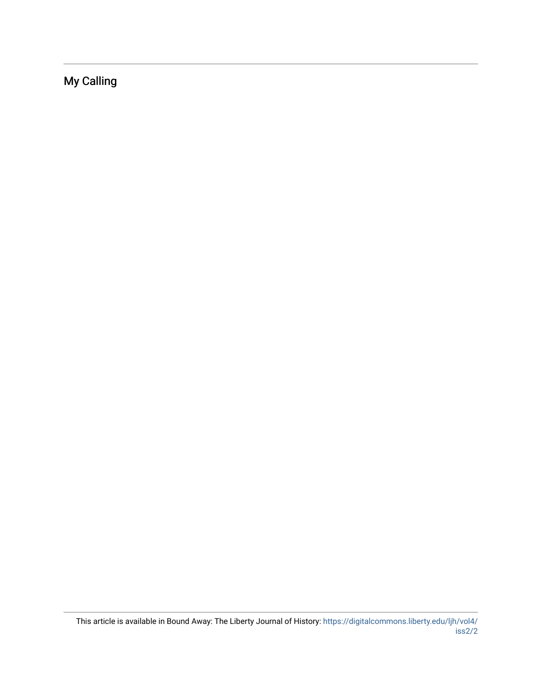My Calling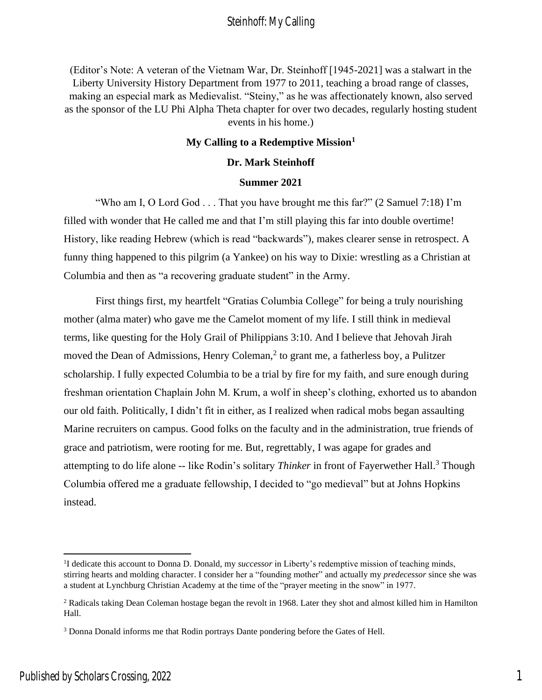(Editor's Note: A veteran of the Vietnam War, Dr. Steinhoff [1945-2021] was a stalwart in the Liberty University History Department from 1977 to 2011, teaching a broad range of classes, making an especial mark as Medievalist. "Steiny," as he was affectionately known, also served as the sponsor of the LU Phi Alpha Theta chapter for over two decades, regularly hosting student events in his home.)

#### **My Calling to a Redemptive Mission<sup>1</sup>**

#### **Dr. Mark Steinhoff**

#### **Summer 2021**

"Who am I, O Lord God . . . That you have brought me this far?" (2 Samuel 7:18) I'm filled with wonder that He called me and that I'm still playing this far into double overtime! History, like reading Hebrew (which is read "backwards"), makes clearer sense in retrospect. A funny thing happened to this pilgrim (a Yankee) on his way to Dixie: wrestling as a Christian at Columbia and then as "a recovering graduate student" in the Army.

First things first, my heartfelt "Gratias Columbia College" for being a truly nourishing mother (alma mater) who gave me the Camelot moment of my life. I still think in medieval terms, like questing for the Holy Grail of Philippians 3:10. And I believe that Jehovah Jirah moved the Dean of Admissions, Henry Coleman, 2 to grant me, a fatherless boy, a Pulitzer scholarship. I fully expected Columbia to be a trial by fire for my faith, and sure enough during freshman orientation Chaplain John M. Krum, a wolf in sheep's clothing, exhorted us to abandon our old faith. Politically, I didn't fit in either, as I realized when radical mobs began assaulting Marine recruiters on campus. Good folks on the faculty and in the administration, true friends of grace and patriotism, were rooting for me. But, regrettably, I was agape for grades and attempting to do life alone -- like Rodin's solitary *Thinker* in front of Fayerwether Hall.<sup>3</sup> Though Columbia offered me a graduate fellowship, I decided to "go medieval" but at Johns Hopkins instead.

<sup>&</sup>lt;sup>1</sup>I dedicate this account to Donna D. Donald, my *successor* in Liberty's redemptive mission of teaching minds, stirring hearts and molding character. I consider her a "founding mother" and actually my *predecessor* since she was a student at Lynchburg Christian Academy at the time of the "prayer meeting in the snow" in 1977.

<sup>&</sup>lt;sup>2</sup> Radicals taking Dean Coleman hostage began the revolt in 1968. Later they shot and almost killed him in Hamilton Hall.

<sup>&</sup>lt;sup>3</sup> Donna Donald informs me that Rodin portrays Dante pondering before the Gates of Hell.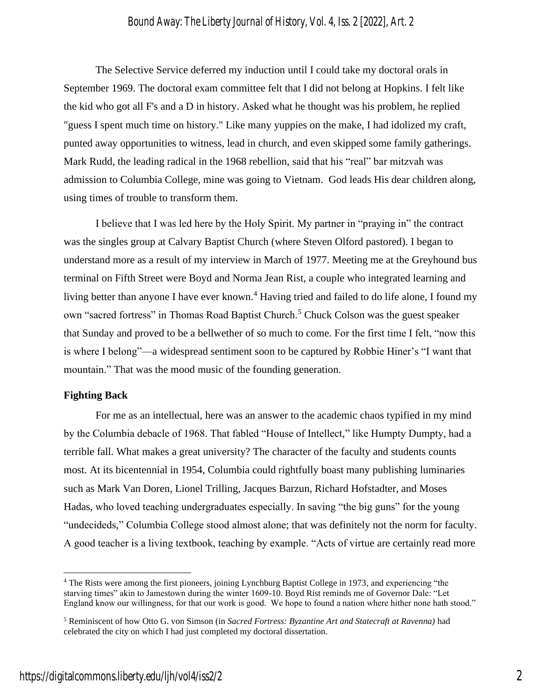The Selective Service deferred my induction until I could take my doctoral orals in September 1969. The doctoral exam committee felt that I did not belong at Hopkins. I felt like the kid who got all F's and a D in history. Asked what he thought was his problem, he replied "guess I spent much time on history." Like many yuppies on the make, I had idolized my craft, punted away opportunities to witness, lead in church, and even skipped some family gatherings. Mark Rudd, the leading radical in the 1968 rebellion, said that his "real" bar mitzvah was admission to Columbia College, mine was going to Vietnam. God leads His dear children along, using times of trouble to transform them.

I believe that I was led here by the Holy Spirit. My partner in "praying in" the contract was the singles group at Calvary Baptist Church (where Steven Olford pastored). I began to understand more as a result of my interview in March of 1977. Meeting me at the Greyhound bus terminal on Fifth Street were Boyd and Norma Jean Rist, a couple who integrated learning and living better than anyone I have ever known.<sup>4</sup> Having tried and failed to do life alone, I found my own "sacred fortress" in Thomas Road Baptist Church.<sup>5</sup> Chuck Colson was the guest speaker that Sunday and proved to be a bellwether of so much to come. For the first time I felt, "now this is where I belong"—a widespread sentiment soon to be captured by Robbie Hiner's "I want that mountain." That was the mood music of the founding generation.

#### **Fighting Back**

For me as an intellectual, here was an answer to the academic chaos typified in my mind by the Columbia debacle of 1968. That fabled "House of Intellect," like Humpty Dumpty, had a terrible fall. What makes a great university? The character of the faculty and students counts most. At its bicentennial in 1954, Columbia could rightfully boast many publishing luminaries such as Mark Van Doren, Lionel Trilling, Jacques Barzun, Richard Hofstadter, and Moses Hadas, who loved teaching undergraduates especially. In saving "the big guns" for the young "undecideds," Columbia College stood almost alone; that was definitely not the norm for faculty. A good teacher is a living textbook, teaching by example. "Acts of virtue are certainly read more

<sup>4</sup> The Rists were among the first pioneers, joining Lynchburg Baptist College in 1973, and experiencing "the starving times" akin to Jamestown during the winter 1609-10. Boyd Rist reminds me of Governor Dale: "Let England know our willingness, for that our work is good. We hope to found a nation where hither none hath stood."

<sup>5</sup> Reminiscent of how Otto G. von Simson (in *Sacred Fortress: Byzantine Art and Statecraft at Ravenna)* had celebrated the city on which I had just completed my doctoral dissertation.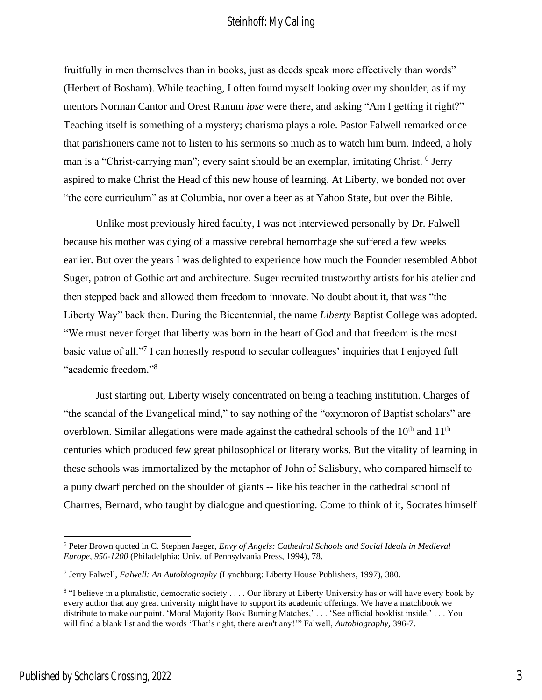fruitfully in men themselves than in books, just as deeds speak more effectively than words" (Herbert of Bosham). While teaching, I often found myself looking over my shoulder, as if my mentors Norman Cantor and Orest Ranum *ipse* were there, and asking "Am I getting it right?" Teaching itself is something of a mystery; charisma plays a role. Pastor Falwell remarked once that parishioners came not to listen to his sermons so much as to watch him burn. Indeed, a holy man is a "Christ-carrying man"; every saint should be an exemplar, imitating Christ. <sup>6</sup> Jerry aspired to make Christ the Head of this new house of learning. At Liberty, we bonded not over "the core curriculum" as at Columbia, nor over a beer as at Yahoo State, but over the Bible.

Unlike most previously hired faculty, I was not interviewed personally by Dr. Falwell because his mother was dying of a massive cerebral hemorrhage she suffered a few weeks earlier. But over the years I was delighted to experience how much the Founder resembled Abbot Suger, patron of Gothic art and architecture. Suger recruited trustworthy artists for his atelier and then stepped back and allowed them freedom to innovate. No doubt about it, that was "the Liberty Way" back then. During the Bicentennial, the name *Liberty* Baptist College was adopted. "We must never forget that liberty was born in the heart of God and that freedom is the most basic value of all."<sup>7</sup> I can honestly respond to secular colleagues' inquiries that I enjoyed full "academic freedom." 8

Just starting out, Liberty wisely concentrated on being a teaching institution. Charges of "the scandal of the Evangelical mind," to say nothing of the "oxymoron of Baptist scholars" are overblown. Similar allegations were made against the cathedral schools of the  $10<sup>th</sup>$  and  $11<sup>th</sup>$ centuries which produced few great philosophical or literary works. But the vitality of learning in these schools was immortalized by the metaphor of John of Salisbury, who compared himself to a puny dwarf perched on the shoulder of giants -- like his teacher in the cathedral school of Chartres, Bernard, who taught by dialogue and questioning. Come to think of it, Socrates himself

<sup>6</sup> Peter Brown quoted in C. Stephen Jaeger, *Envy of Angels: Cathedral Schools and Social Ideals in Medieval Europe, 950-1200* (Philadelphia: Univ. of Pennsylvania Press, 1994)*,* 78.

<sup>7</sup> Jerry Falwell, *Falwell: An Autobiography* (Lynchburg: Liberty House Publishers, 1997), 380.

<sup>&</sup>lt;sup>8</sup> "I believe in a pluralistic, democratic society . . . . Our library at Liberty University has or will have every book by every author that any great university might have to support its academic offerings. We have a matchbook we distribute to make our point. 'Moral Majority Book Burning Matches,' . . . 'See official booklist inside.' . . . You will find a blank list and the words 'That's right, there aren't any!'" Falwell, *Autobiography,* 396-7.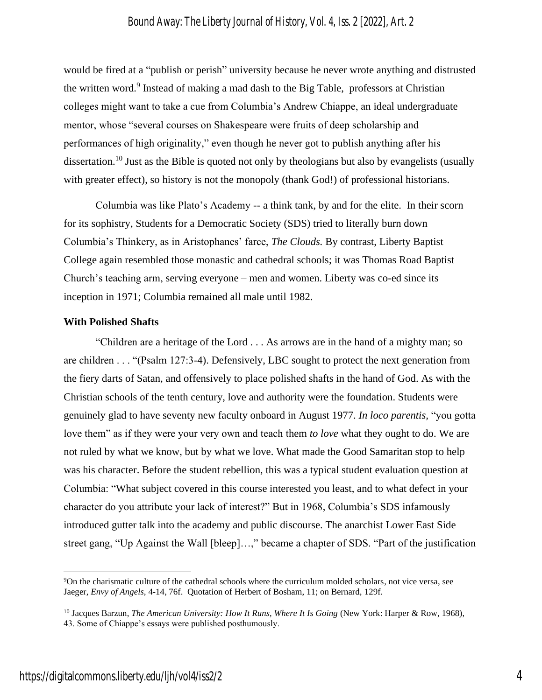would be fired at a "publish or perish" university because he never wrote anything and distrusted the written word.<sup>9</sup> Instead of making a mad dash to the Big Table, professors at Christian colleges might want to take a cue from Columbia's Andrew Chiappe, an ideal undergraduate mentor, whose "several courses on Shakespeare were fruits of deep scholarship and performances of high originality," even though he never got to publish anything after his dissertation.<sup>10</sup> Just as the Bible is quoted not only by theologians but also by evangelists (usually with greater effect), so history is not the monopoly (thank God!) of professional historians.

Columbia was like Plato's Academy -- a think tank, by and for the elite. In their scorn for its sophistry, Students for a Democratic Society (SDS) tried to literally burn down Columbia's Thinkery, as in Aristophanes' farce, *The Clouds.* By contrast, Liberty Baptist College again resembled those monastic and cathedral schools; it was Thomas Road Baptist Church's teaching arm, serving everyone – men and women. Liberty was co-ed since its inception in 1971; Columbia remained all male until 1982.

#### **With Polished Shafts**

"Children are a heritage of the Lord . . . As arrows are in the hand of a mighty man; so are children . . . "(Psalm 127:3-4). Defensively, LBC sought to protect the next generation from the fiery darts of Satan, and offensively to place polished shafts in the hand of God. As with the Christian schools of the tenth century, love and authority were the foundation. Students were genuinely glad to have seventy new faculty onboard in August 1977. *In loco parentis,* "you gotta love them" as if they were your very own and teach them *to love* what they ought to do. We are not ruled by what we know, but by what we love. What made the Good Samaritan stop to help was his character. Before the student rebellion, this was a typical student evaluation question at Columbia: "What subject covered in this course interested you least, and to what defect in your character do you attribute your lack of interest?" But in 1968, Columbia's SDS infamously introduced gutter talk into the academy and public discourse. The anarchist Lower East Side street gang, "Up Against the Wall [bleep]…," became a chapter of SDS. "Part of the justification

<sup>9</sup>On the charismatic culture of the cathedral schools where the curriculum molded scholars, not vice versa, see Jaeger, *Envy of Angels,* 4-14, 76f. Quotation of Herbert of Bosham, 11; on Bernard, 129f.

<sup>10</sup> Jacques Barzun, *The American University: How It Runs, Where It Is Going* (New York: Harper & Row, 1968), 43. Some of Chiappe's essays were published posthumously.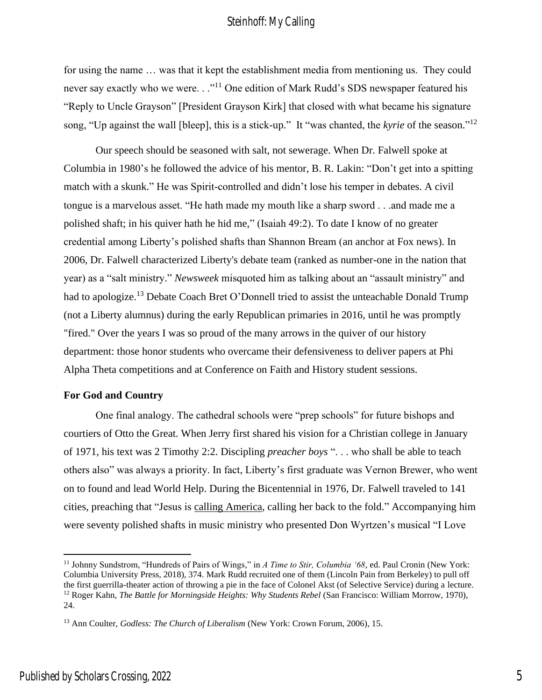for using the name … was that it kept the establishment media from mentioning us. They could never say exactly who we were. . ."<sup>11</sup> One edition of Mark Rudd's SDS newspaper featured his "Reply to Uncle Grayson" [President Grayson Kirk] that closed with what became his signature song, "Up against the wall [bleep], this is a stick-up." It "was chanted, the *kyrie* of the season." 12

Our speech should be seasoned with salt, not sewerage. When Dr. Falwell spoke at Columbia in 1980's he followed the advice of his mentor, B. R. Lakin: "Don't get into a spitting match with a skunk." He was Spirit-controlled and didn't lose his temper in debates. A civil tongue is a marvelous asset. "He hath made my mouth like a sharp sword . . .and made me a polished shaft; in his quiver hath he hid me," (Isaiah 49:2). To date I know of no greater credential among Liberty's polished shafts than Shannon Bream (an anchor at Fox news). In 2006, Dr. Falwell characterized Liberty's debate team (ranked as number-one in the nation that year) as a "salt ministry." *Newsweek* misquoted him as talking about an "assault ministry" and had to apologize.<sup>13</sup> Debate Coach Bret O'Donnell tried to assist the unteachable Donald Trump (not a Liberty alumnus) during the early Republican primaries in 2016, until he was promptly "fired." Over the years I was so proud of the many arrows in the quiver of our history department: those honor students who overcame their defensiveness to deliver papers at Phi Alpha Theta competitions and at Conference on Faith and History student sessions.

#### **For God and Country**

One final analogy. The cathedral schools were "prep schools" for future bishops and courtiers of Otto the Great. When Jerry first shared his vision for a Christian college in January of 1971, his text was 2 Timothy 2:2. Discipling *preacher boys* ". . . who shall be able to teach others also" was always a priority. In fact, Liberty's first graduate was Vernon Brewer, who went on to found and lead World Help. During the Bicentennial in 1976, Dr. Falwell traveled to 141 cities, preaching that "Jesus is calling America, calling her back to the fold." Accompanying him were seventy polished shafts in music ministry who presented Don Wyrtzen's musical "I Love

<sup>&</sup>lt;sup>11</sup> Johnny Sundstrom, "Hundreds of Pairs of Wings," in *A Time to Stir, Columbia '68*, ed. Paul Cronin (New York: Columbia University Press, 2018), 374. Mark Rudd recruited one of them (Lincoln Pain from Berkeley) to pull off the first guerrilla-theater action of throwing a pie in the face of Colonel Akst (of Selective Service) during a lecture. <sup>12</sup> Roger Kahn, *The Battle for Morningside Heights: Why Students Rebel* (San Francisco: William Morrow, 1970), 24.

<sup>13</sup> Ann Coulter, *Godless: The Church of Liberalism* (New York: Crown Forum, 2006), 15.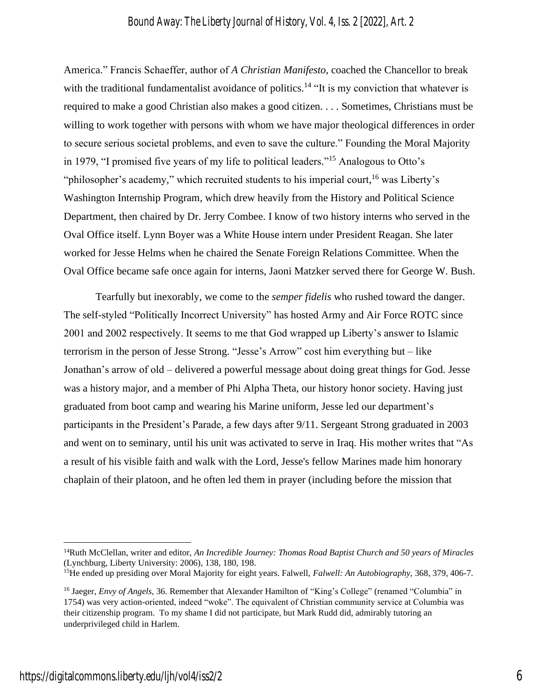America." Francis Schaeffer, author of *A Christian Manifesto,* coached the Chancellor to break with the traditional fundamentalist avoidance of politics.<sup>14</sup> "It is my conviction that whatever is required to make a good Christian also makes a good citizen. . . . Sometimes, Christians must be willing to work together with persons with whom we have major theological differences in order to secure serious societal problems, and even to save the culture." Founding the Moral Majority in 1979, "I promised five years of my life to political leaders." <sup>15</sup> Analogous to Otto's "philosopher's academy," which recruited students to his imperial court, <sup>16</sup> was Liberty's Washington Internship Program, which drew heavily from the History and Political Science Department, then chaired by Dr. Jerry Combee. I know of two history interns who served in the Oval Office itself. Lynn Boyer was a White House intern under President Reagan. She later worked for Jesse Helms when he chaired the Senate Foreign Relations Committee. When the Oval Office became safe once again for interns, Jaoni Matzker served there for George W. Bush.

Tearfully but inexorably, we come to the *semper fidelis* who rushed toward the danger. The self-styled "Politically Incorrect University" has hosted Army and Air Force ROTC since 2001 and 2002 respectively. It seems to me that God wrapped up Liberty's answer to Islamic terrorism in the person of Jesse Strong. "Jesse's Arrow" cost him everything but – like Jonathan's arrow of old – delivered a powerful message about doing great things for God. Jesse was a history major, and a member of Phi Alpha Theta, our history honor society. Having just graduated from boot camp and wearing his Marine uniform, Jesse led our department's participants in the President's Parade, a few days after 9/11. Sergeant Strong graduated in 2003 and went on to seminary, until his unit was activated to serve in Iraq. His mother writes that "As a result of his visible faith and walk with the Lord, Jesse's fellow Marines made him honorary chaplain of their platoon, and he often led them in prayer (including before the mission that

<sup>14</sup>Ruth McClellan, writer and editor, *An Incredible Journey: Thomas Road Baptist Church and 50 years of Miracles*  (Lynchburg, Liberty University: 2006), 138, 180, 198.

<sup>15</sup>He ended up presiding over Moral Majority for eight years. Falwell, *Falwell: An Autobiography,* 368, 379, 406-7.

<sup>16</sup> Jaeger, *Envy of Angels,* 36. Remember that Alexander Hamilton of "King's College" (renamed "Columbia" in 1754) was very action-oriented, indeed "woke". The equivalent of Christian community service at Columbia was their citizenship program. To my shame I did not participate, but Mark Rudd did, admirably tutoring an underprivileged child in Harlem.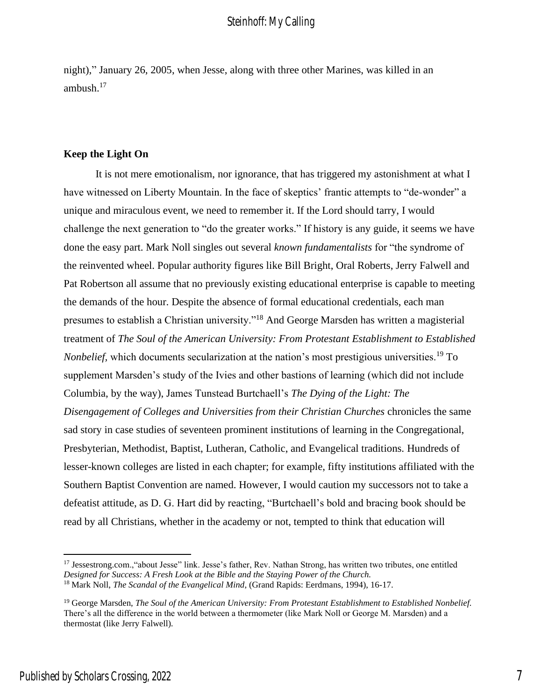night)," January 26, 2005, when Jesse, along with three other Marines, was killed in an ambush.<sup>17</sup>

#### **Keep the Light On**

It is not mere emotionalism, nor ignorance, that has triggered my astonishment at what I have witnessed on Liberty Mountain. In the face of skeptics' frantic attempts to "de-wonder" a unique and miraculous event, we need to remember it. If the Lord should tarry, I would challenge the next generation to "do the greater works." If history is any guide, it seems we have done the easy part. Mark Noll singles out several *known fundamentalists* for "the syndrome of the reinvented wheel. Popular authority figures like Bill Bright, Oral Roberts, Jerry Falwell and Pat Robertson all assume that no previously existing educational enterprise is capable to meeting the demands of the hour. Despite the absence of formal educational credentials, each man presumes to establish a Christian university."<sup>18</sup> And George Marsden has written a magisterial treatment of *The Soul of the American University: From Protestant Establishment to Established Nonbelief*, which documents secularization at the nation's most prestigious universities.<sup>19</sup> To supplement Marsden's study of the Ivies and other bastions of learning (which did not include Columbia, by the way), James Tunstead Burtchaell's *The Dying of the Light: The Disengagement of Colleges and Universities from their Christian Churches* chronicles the same sad story in case studies of seventeen prominent institutions of learning in the Congregational, Presbyterian, Methodist, Baptist, Lutheran, Catholic, and Evangelical traditions. Hundreds of lesser-known colleges are listed in each chapter; for example, fifty institutions affiliated with the Southern Baptist Convention are named. However, I would caution my successors not to take a defeatist attitude, as D. G. Hart did by reacting, "Burtchaell's bold and bracing book should be read by all Christians, whether in the academy or not, tempted to think that education will

<sup>&</sup>lt;sup>17</sup> Jessestrong.com., "about Jesse" link. Jesse's father, Rev. Nathan Strong, has written two tributes, one entitled *Designed for Success: A Fresh Look at the Bible and the Staying Power of the Church.* <sup>18</sup> Mark Noll, *The Scandal of the Evangelical Mind*, (Grand Rapids: Eerdmans, 1994), 16-17.

<sup>19</sup> George Marsden, *The Soul of the American University: From Protestant Establishment to Established Nonbelief.*  There's all the difference in the world between a thermometer (like Mark Noll or George M. Marsden) and a thermostat (like Jerry Falwell).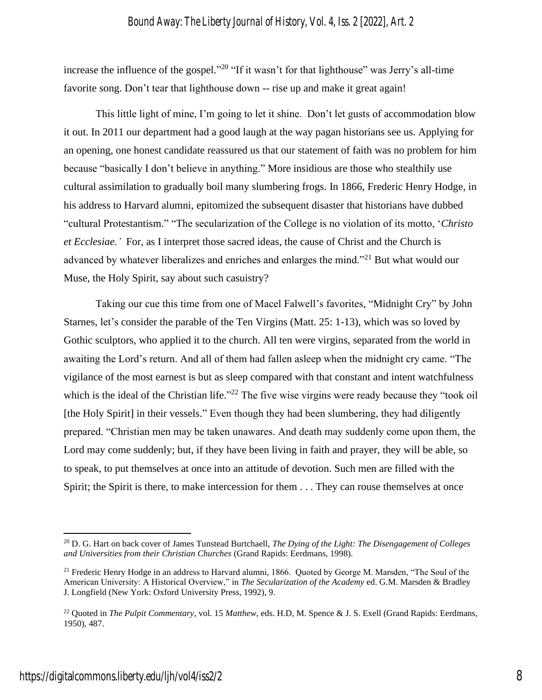increase the influence of the gospel."<sup>20</sup> "If it wasn't for that lighthouse" was Jerry's all-time favorite song. Don't tear that lighthouse down -- rise up and make it great again!

This little light of mine, I'm going to let it shine. Don't let gusts of accommodation blow it out. In 2011 our department had a good laugh at the way pagan historians see us. Applying for an opening, one honest candidate reassured us that our statement of faith was no problem for him because "basically I don't believe in anything." More insidious are those who stealthily use cultural assimilation to gradually boil many slumbering frogs. In 1866, Frederic Henry Hodge, in his address to Harvard alumni, epitomized the subsequent disaster that historians have dubbed "cultural Protestantism." "The secularization of the College is no violation of its motto, '*Christo et Ecclesiae.'* For, as I interpret those sacred ideas, the cause of Christ and the Church is advanced by whatever liberalizes and enriches and enlarges the mind."<sup>21</sup> But what would our Muse, the Holy Spirit, say about such casuistry?

Taking our cue this time from one of Macel Falwell's favorites, "Midnight Cry" by John Starnes, let's consider the parable of the Ten Virgins (Matt. 25: 1-13), which was so loved by Gothic sculptors, who applied it to the church. All ten were virgins, separated from the world in awaiting the Lord's return. And all of them had fallen asleep when the midnight cry came. "The vigilance of the most earnest is but as sleep compared with that constant and intent watchfulness which is the ideal of the Christian life."<sup>22</sup> The five wise virgins were ready because they "took oil [the Holy Spirit] in their vessels." Even though they had been slumbering, they had diligently prepared. "Christian men may be taken unawares. And death may suddenly come upon them, the Lord may come suddenly; but, if they have been living in faith and prayer, they will be able, so to speak, to put themselves at once into an attitude of devotion. Such men are filled with the Spirit; the Spirit is there, to make intercession for them . . . They can rouse themselves at once

<sup>20</sup> D. G. Hart on back cover of James Tunstead Burtchaell, *The Dying of the Light: The Disengagement of Colleges and Universities from their Christian Churches* (Grand Rapids: Eerdmans, 1998).

 $21$  Frederic Henry Hodge in an address to Harvard alumni, 1866. Quoted by George M. Marsden, "The Soul of the American University: A Historical Overview," in *The Secularization of the Academy* ed. G.M. Marsden & Bradley J. Longfield (New York: Oxford University Press, 1992), 9.

<sup>22</sup> Quoted in *The Pulpit Commentary*, vol. 15 *Matthew*, eds. H.D, M. Spence & J. S. Exell (Grand Rapids: Eerdmans, 1950), 487.